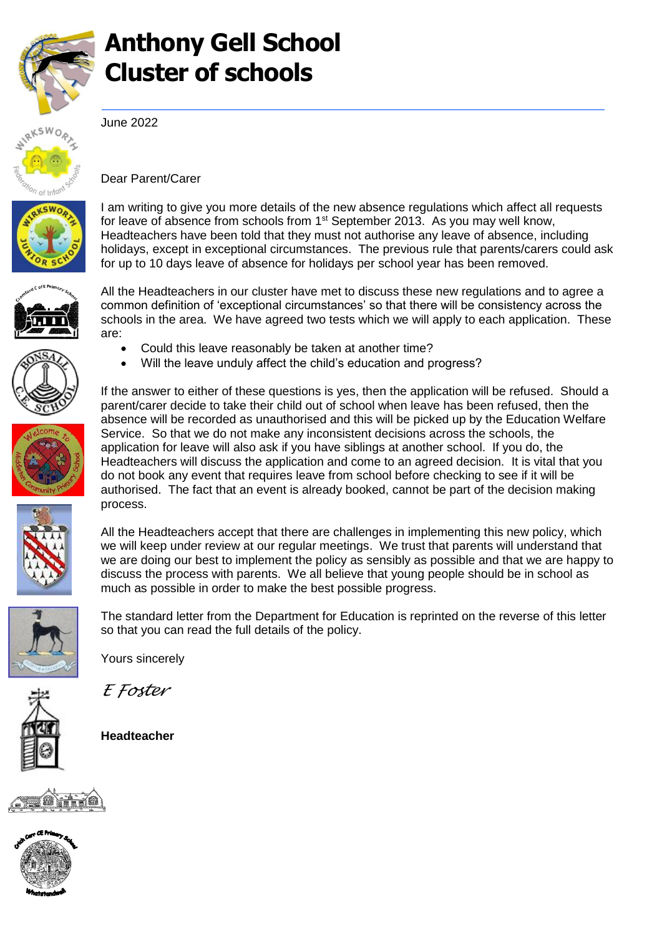

## **Anthony Gell School Cluster of schools**



June 2022



Dear Parent/Carer

I am writing to give you more details of the new absence regulations which affect all requests for leave of absence from schools from  $1<sup>st</sup>$  September 2013. As you may well know, Headteachers have been told that they must not authorise any leave of absence, including holidays, except in exceptional circumstances. The previous rule that parents/carers could ask for up to 10 days leave of absence for holidays per school year has been removed.











*E Foster*

**Headteacher**





All the Headteachers in our cluster have met to discuss these new regulations and to agree a common definition of 'exceptional circumstances' so that there will be consistency across the schools in the area. We have agreed two tests which we will apply to each application. These are:

- Could this leave reasonably be taken at another time?
- Will the leave unduly affect the child's education and progress?

If the answer to either of these questions is yes, then the application will be refused. Should a parent/carer decide to take their child out of school when leave has been refused, then the absence will be recorded as unauthorised and this will be picked up by the Education Welfare Service. So that we do not make any inconsistent decisions across the schools, the application for leave will also ask if you have siblings at another school. If you do, the Headteachers will discuss the application and come to an agreed decision. It is vital that you do not book any event that requires leave from school before checking to see if it will be authorised. The fact that an event is already booked, cannot be part of the decision making process.

All the Headteachers accept that there are challenges in implementing this new policy, which we will keep under review at our regular meetings. We trust that parents will understand that we are doing our best to implement the policy as sensibly as possible and that we are happy to discuss the process with parents. We all believe that young people should be in school as much as possible in order to make the best possible progress.

The standard letter from the Department for Education is reprinted on the reverse of this letter so that you can read the full details of the policy.

Yours sincerely